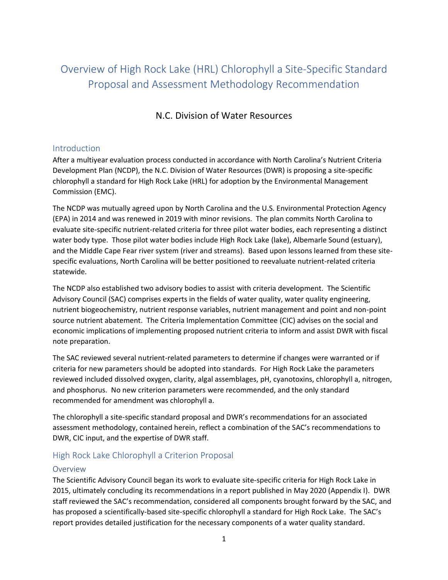# Overview of High Rock Lake (HRL) Chlorophyll a Site-Specific Standard Proposal and Assessment Methodology Recommendation

## N.C. Division of Water Resources

## Introduction

After a multiyear evaluation process conducted in accordance with North Carolina's Nutrient Criteria Development Plan (NCDP), the N.C. Division of Water Resources (DWR) is proposing a site-specific chlorophyll a standard for High Rock Lake (HRL) for adoption by the Environmental Management Commission (EMC).

The NCDP was mutually agreed upon by North Carolina and the U.S. Environmental Protection Agency (EPA) in 2014 and was renewed in 2019 with minor revisions. The plan commits North Carolina to evaluate site-specific nutrient-related criteria for three pilot water bodies, each representing a distinct water body type. Those pilot water bodies include High Rock Lake (lake), Albemarle Sound (estuary), and the Middle Cape Fear river system (river and streams). Based upon lessons learned from these sitespecific evaluations, North Carolina will be better positioned to reevaluate nutrient-related criteria statewide.

The NCDP also established two advisory bodies to assist with criteria development. The Scientific Advisory Council (SAC) comprises experts in the fields of water quality, water quality engineering, nutrient biogeochemistry, nutrient response variables, nutrient management and point and non-point source nutrient abatement. The Criteria Implementation Committee (CIC) advises on the social and economic implications of implementing proposed nutrient criteria to inform and assist DWR with fiscal note preparation.

The SAC reviewed several nutrient-related parameters to determine if changes were warranted or if criteria for new parameters should be adopted into standards. For High Rock Lake the parameters reviewed included dissolved oxygen, clarity, algal assemblages, pH, cyanotoxins, chlorophyll a, nitrogen, and phosphorus. No new criterion parameters were recommended, and the only standard recommended for amendment was chlorophyll a.

The chlorophyll a site-specific standard proposal and DWR's recommendations for an associated assessment methodology, contained herein, reflect a combination of the SAC's recommendations to DWR, CIC input, and the expertise of DWR staff.

## High Rock Lake Chlorophyll a Criterion Proposal

### Overview

The Scientific Advisory Council began its work to evaluate site-specific criteria for High Rock Lake in 2015, ultimately concluding its recommendations in a report published in May 2020 (Appendix I). DWR staff reviewed the SAC's recommendation, considered all components brought forward by the SAC, and has proposed a scientifically-based site-specific chlorophyll a standard for High Rock Lake. The SAC's report provides detailed justification for the necessary components of a water quality standard.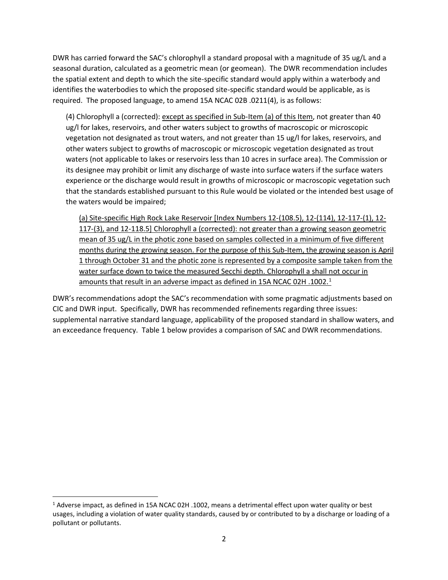DWR has carried forward the SAC's chlorophyll a standard proposal with a magnitude of 35 ug/L and a seasonal duration, calculated as a geometric mean (or geomean). The DWR recommendation includes the spatial extent and depth to which the site-specific standard would apply within a waterbody and identifies the waterbodies to which the proposed site-specific standard would be applicable, as is required. The proposed language, to amend 15A NCAC 02B .0211(4), is as follows:

(4) Chlorophyll a (corrected): except as specified in Sub-Item (a) of this Item, not greater than 40 ug/l for lakes, reservoirs, and other waters subject to growths of macroscopic or microscopic vegetation not designated as trout waters, and not greater than 15 ug/l for lakes, reservoirs, and other waters subject to growths of macroscopic or microscopic vegetation designated as trout waters (not applicable to lakes or reservoirs less than 10 acres in surface area). The Commission or its designee may prohibit or limit any discharge of waste into surface waters if the surface waters experience or the discharge would result in growths of microscopic or macroscopic vegetation such that the standards established pursuant to this Rule would be violated or the intended best usage of the waters would be impaired;

(a) Site-specific High Rock Lake Reservoir [Index Numbers 12-(108.5), 12-(114), 12-117-(1), 12- 117-(3), and 12-118.5] Chlorophyll a (corrected): not greater than a growing season geometric mean of 35 ug/L in the photic zone based on samples collected in a minimum of five different months during the growing season. For the purpose of this Sub-Item, the growing season is April 1 through October 31 and the photic zone is represented by a composite sample taken from the water surface down to twice the measured Secchi depth. Chlorophyll a shall not occur in amounts that result in an adverse impact as defined in 15A NCAC 02H .1002.<sup>1</sup>

DWR's recommendations adopt the SAC's recommendation with some pragmatic adjustments based on CIC and DWR input. Specifically, DWR has recommended refinements regarding three issues: supplemental narrative standard language, applicability of the proposed standard in shallow waters, and an exceedance frequency. Table 1 below provides a comparison of SAC and DWR recommendations.

<sup>1</sup> Adverse impact, as defined in 15A NCAC 02H .1002, means a detrimental effect upon water quality or best usages, including a violation of water quality standards, caused by or contributed to by a discharge or loading of a pollutant or pollutants.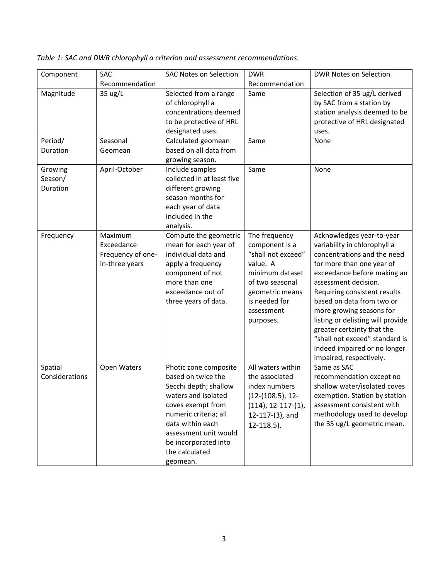| Component                      | <b>SAC</b>                                                   | <b>SAC Notes on Selection</b>                                                                                                                                                                                                                | <b>DWR</b>                                                                                                                                                             | <b>DWR Notes on Selection</b>                                                                                                                                                                                                                                                                                                                                                                                                         |
|--------------------------------|--------------------------------------------------------------|----------------------------------------------------------------------------------------------------------------------------------------------------------------------------------------------------------------------------------------------|------------------------------------------------------------------------------------------------------------------------------------------------------------------------|---------------------------------------------------------------------------------------------------------------------------------------------------------------------------------------------------------------------------------------------------------------------------------------------------------------------------------------------------------------------------------------------------------------------------------------|
|                                | Recommendation                                               |                                                                                                                                                                                                                                              | Recommendation                                                                                                                                                         |                                                                                                                                                                                                                                                                                                                                                                                                                                       |
| Magnitude                      | 35 ug/L                                                      | Selected from a range<br>of chlorophyll a<br>concentrations deemed<br>to be protective of HRL<br>designated uses.                                                                                                                            | Same                                                                                                                                                                   | Selection of 35 ug/L derived<br>by SAC from a station by<br>station analysis deemed to be<br>protective of HRL designated<br>uses.                                                                                                                                                                                                                                                                                                    |
| Period/                        | Seasonal                                                     | Calculated geomean                                                                                                                                                                                                                           | Same                                                                                                                                                                   | None                                                                                                                                                                                                                                                                                                                                                                                                                                  |
| Duration                       | Geomean                                                      | based on all data from<br>growing season.                                                                                                                                                                                                    |                                                                                                                                                                        |                                                                                                                                                                                                                                                                                                                                                                                                                                       |
| Growing<br>Season/<br>Duration | April-October                                                | Include samples<br>collected in at least five<br>different growing<br>season months for<br>each year of data<br>included in the<br>analysis.                                                                                                 | Same                                                                                                                                                                   | None                                                                                                                                                                                                                                                                                                                                                                                                                                  |
| Frequency                      | Maximum<br>Exceedance<br>Frequency of one-<br>in-three years | Compute the geometric<br>mean for each year of<br>individual data and<br>apply a frequency<br>component of not<br>more than one<br>exceedance out of<br>three years of data.                                                                 | The frequency<br>component is a<br>"shall not exceed"<br>value. A<br>minimum dataset<br>of two seasonal<br>geometric means<br>is needed for<br>assessment<br>purposes. | Acknowledges year-to-year<br>variability in chlorophyll a<br>concentrations and the need<br>for more than one year of<br>exceedance before making an<br>assessment decision.<br>Requiring consistent results<br>based on data from two or<br>more growing seasons for<br>listing or delisting will provide<br>greater certainty that the<br>"shall not exceed" standard is<br>indeed impaired or no longer<br>impaired, respectively. |
| Spatial<br>Considerations      | Open Waters                                                  | Photic zone composite<br>based on twice the<br>Secchi depth; shallow<br>waters and isolated<br>coves exempt from<br>numeric criteria; all<br>data within each<br>assessment unit would<br>be incorporated into<br>the calculated<br>geomean. | All waters within<br>the associated<br>index numbers<br>$(12-(108.5), 12-$<br>$(114)$ , 12-117- $(1)$ ,<br>12-117-(3), and<br>$12-118.5$ ).                            | Same as SAC<br>recommendation except no<br>shallow water/isolated coves<br>exemption. Station by station<br>assessment consistent with<br>methodology used to develop<br>the 35 ug/L geometric mean.                                                                                                                                                                                                                                  |

*Table 1: SAC and DWR chlorophyll a criterion and assessment recommendations.*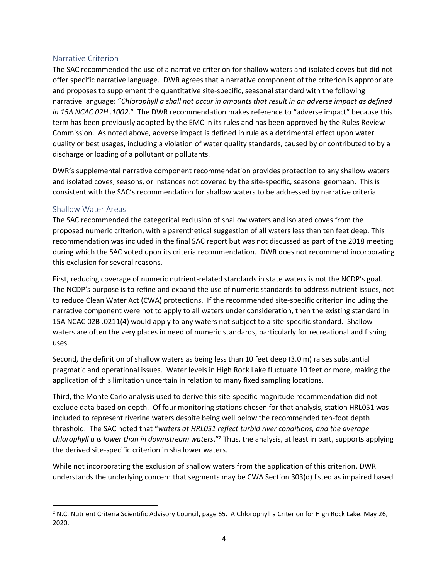#### Narrative Criterion

The SAC recommended the use of a narrative criterion for shallow waters and isolated coves but did not offer specific narrative language. DWR agrees that a narrative component of the criterion is appropriate and proposes to supplement the quantitative site-specific, seasonal standard with the following narrative language: "*Chlorophyll a shall not occur in amounts that result in an adverse impact as defined in 15A NCAC 02H .1002*." The DWR recommendation makes reference to "adverse impact" because this term has been previously adopted by the EMC in its rules and has been approved by the Rules Review Commission. As noted above, adverse impact is defined in rule as a detrimental effect upon water quality or best usages, including a violation of water quality standards, caused by or contributed to by a discharge or loading of a pollutant or pollutants.

DWR's supplemental narrative component recommendation provides protection to any shallow waters and isolated coves, seasons, or instances not covered by the site-specific, seasonal geomean. This is consistent with the SAC's recommendation for shallow waters to be addressed by narrative criteria.

#### Shallow Water Areas

The SAC recommended the categorical exclusion of shallow waters and isolated coves from the proposed numeric criterion, with a parenthetical suggestion of all waters less than ten feet deep. This recommendation was included in the final SAC report but was not discussed as part of the 2018 meeting during which the SAC voted upon its criteria recommendation. DWR does not recommend incorporating this exclusion for several reasons.

First, reducing coverage of numeric nutrient-related standards in state waters is not the NCDP's goal. The NCDP's purpose is to refine and expand the use of numeric standards to address nutrient issues, not to reduce Clean Water Act (CWA) protections. If the recommended site-specific criterion including the narrative component were not to apply to all waters under consideration, then the existing standard in 15A NCAC 02B .0211(4) would apply to any waters not subject to a site-specific standard. Shallow waters are often the very places in need of numeric standards, particularly for recreational and fishing uses.

Second, the definition of shallow waters as being less than 10 feet deep (3.0 m) raises substantial pragmatic and operational issues. Water levels in High Rock Lake fluctuate 10 feet or more, making the application of this limitation uncertain in relation to many fixed sampling locations.

Third, the Monte Carlo analysis used to derive this site-specific magnitude recommendation did not exclude data based on depth. Of four monitoring stations chosen for that analysis, station HRL051 was included to represent riverine waters despite being well below the recommended ten-foot depth threshold. The SAC noted that "*waters at HRL051 reflect turbid river conditions, and the average chlorophyll a is lower than in downstream waters*."<sup>2</sup> Thus, the analysis, at least in part, supports applying the derived site-specific criterion in shallower waters.

While not incorporating the exclusion of shallow waters from the application of this criterion, DWR understands the underlying concern that segments may be CWA Section 303(d) listed as impaired based

<sup>2</sup> N.C. Nutrient Criteria Scientific Advisory Council, page 65. A Chlorophyll a Criterion for High Rock Lake. May 26, 2020.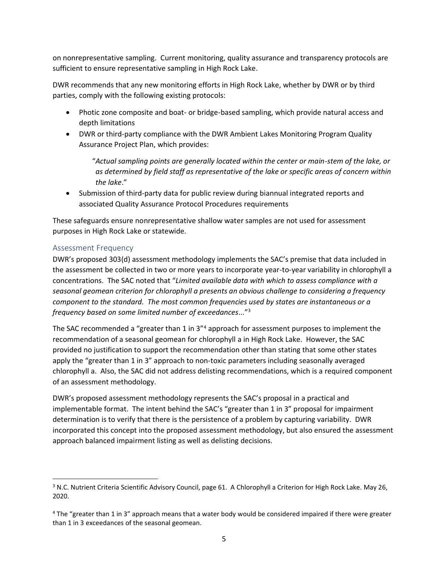on nonrepresentative sampling. Current monitoring, quality assurance and transparency protocols are sufficient to ensure representative sampling in High Rock Lake.

DWR recommends that any new monitoring efforts in High Rock Lake, whether by DWR or by third parties, comply with the following existing protocols:

- Photic zone composite and boat- or bridge-based sampling, which provide natural access and depth limitations
- DWR or third-party compliance with the DWR Ambient Lakes Monitoring Program Quality Assurance Project Plan, which provides:

"*Actual sampling points are generally located within the center or main-stem of the lake, or as determined by field staff as representative of the lake or specific areas of concern within the lake*."

• Submission of third-party data for public review during biannual integrated reports and associated Quality Assurance Protocol Procedures requirements

These safeguards ensure nonrepresentative shallow water samples are not used for assessment purposes in High Rock Lake or statewide.

## Assessment Frequency

DWR's proposed 303(d) assessment methodology implements the SAC's premise that data included in the assessment be collected in two or more years to incorporate year-to-year variability in chlorophyll a concentrations. The SAC noted that "*Limited available data with which to assess compliance with a seasonal geomean criterion for chlorophyll a presents an obvious challenge to considering a frequency component to the standard. The most common frequencies used by states are instantaneous or a frequency based on some limited number of exceedances*..."<sup>3</sup>

The SAC recommended a "greater than 1 in 3"4 approach for assessment purposes to implement the recommendation of a seasonal geomean for chlorophyll a in High Rock Lake. However, the SAC provided no justification to support the recommendation other than stating that some other states apply the "greater than 1 in 3" approach to non-toxic parameters including seasonally averaged chlorophyll a. Also, the SAC did not address delisting recommendations, which is a required component of an assessment methodology.

DWR's proposed assessment methodology represents the SAC's proposal in a practical and implementable format. The intent behind the SAC's "greater than 1 in 3" proposal for impairment determination is to verify that there is the persistence of a problem by capturing variability. DWR incorporated this concept into the proposed assessment methodology, but also ensured the assessment approach balanced impairment listing as well as delisting decisions.

<sup>&</sup>lt;sup>3</sup> N.C. Nutrient Criteria Scientific Advisory Council, page 61. A Chlorophyll a Criterion for High Rock Lake. May 26, 2020.

<sup>4</sup> The "greater than 1 in 3" approach means that a water body would be considered impaired if there were greater than 1 in 3 exceedances of the seasonal geomean.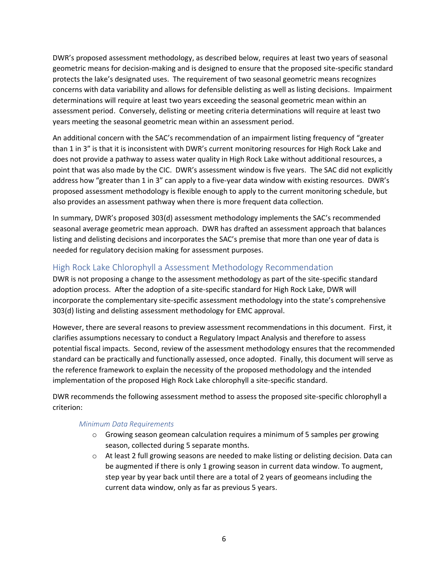DWR's proposed assessment methodology, as described below, requires at least two years of seasonal geometric means for decision-making and is designed to ensure that the proposed site-specific standard protects the lake's designated uses. The requirement of two seasonal geometric means recognizes concerns with data variability and allows for defensible delisting as well as listing decisions. Impairment determinations will require at least two years exceeding the seasonal geometric mean within an assessment period. Conversely, delisting or meeting criteria determinations will require at least two years meeting the seasonal geometric mean within an assessment period.

An additional concern with the SAC's recommendation of an impairment listing frequency of "greater than 1 in 3" is that it is inconsistent with DWR's current monitoring resources for High Rock Lake and does not provide a pathway to assess water quality in High Rock Lake without additional resources, a point that was also made by the CIC. DWR's assessment window is five years. The SAC did not explicitly address how "greater than 1 in 3" can apply to a five-year data window with existing resources. DWR's proposed assessment methodology is flexible enough to apply to the current monitoring schedule, but also provides an assessment pathway when there is more frequent data collection.

In summary, DWR's proposed 303(d) assessment methodology implements the SAC's recommended seasonal average geometric mean approach. DWR has drafted an assessment approach that balances listing and delisting decisions and incorporates the SAC's premise that more than one year of data is needed for regulatory decision making for assessment purposes.

## High Rock Lake Chlorophyll a Assessment Methodology Recommendation

DWR is not proposing a change to the assessment methodology as part of the site-specific standard adoption process. After the adoption of a site-specific standard for High Rock Lake, DWR will incorporate the complementary site-specific assessment methodology into the state's comprehensive 303(d) listing and delisting assessment methodology for EMC approval.

However, there are several reasons to preview assessment recommendations in this document. First, it clarifies assumptions necessary to conduct a Regulatory Impact Analysis and therefore to assess potential fiscal impacts. Second, review of the assessment methodology ensures that the recommended standard can be practically and functionally assessed, once adopted. Finally, this document will serve as the reference framework to explain the necessity of the proposed methodology and the intended implementation of the proposed High Rock Lake chlorophyll a site-specific standard.

DWR recommends the following assessment method to assess the proposed site-specific chlorophyll a criterion:

#### *Minimum Data Requirements*

- $\circ$  Growing season geomean calculation requires a minimum of 5 samples per growing season, collected during 5 separate months.
- $\circ$  At least 2 full growing seasons are needed to make listing or delisting decision. Data can be augmented if there is only 1 growing season in current data window. To augment, step year by year back until there are a total of 2 years of geomeans including the current data window, only as far as previous 5 years.